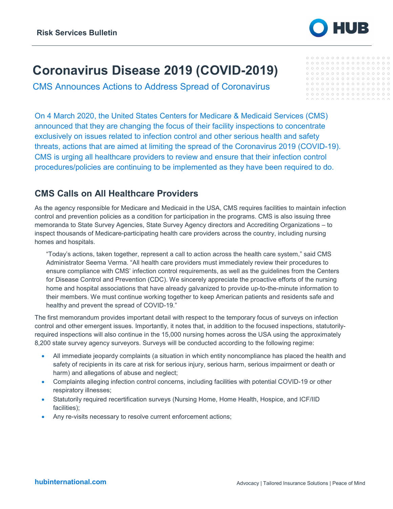

 $00000000000000000000$ 

## **Coronavirus Disease 2019 (COVID-2019)**

CMS Announces Actions to Address Spread of Coronavirus

On 4 March 2020, the United States Centers for Medicare & Medicaid Services (CMS) announced that they are changing the focus of their facility inspections to concentrate exclusively on issues related to infection control and other serious health and safety threats, actions that are aimed at limiting the spread of the Coronavirus 2019 (COVID-19). CMS is urging all healthcare providers to review and ensure that their infection control procedures/policies are continuing to be implemented as they have been required to do.

## **CMS Calls on All Healthcare Providers**

As the agency responsible for Medicare and Medicaid in the USA, CMS requires facilities to maintain infection control and prevention policies as a condition for participation in the programs. CMS is also issuing three memoranda to State Survey Agencies, State Survey Agency directors and Accrediting Organizations – to inspect thousands of Medicare-participating health care providers across the country, including nursing homes and hospitals.

"Today's actions, taken together, represent a call to action across the health care system," said CMS Administrator Seema Verma. "All health care providers must immediately review their procedures to ensure compliance with CMS' infection control requirements, as well as the guidelines from the Centers for Disease Control and Prevention (CDC). We sincerely appreciate the proactive efforts of the nursing home and hospital associations that have already galvanized to provide up-to-the-minute information to their members. We must continue working together to keep American patients and residents safe and healthy and prevent the spread of COVID-19."

The first memorandum provides important detail with respect to the temporary focus of surveys on infection control and other emergent issues. Importantly, it notes that, in addition to the focused inspections, statutorilyrequired inspections will also continue in the 15,000 nursing homes across the USA using the approximately 8,200 state survey agency surveyors. Surveys will be conducted according to the following regime:

- All immediate jeopardy complaints (a situation in which entity noncompliance has placed the health and safety of recipients in its care at risk for serious injury, serious harm, serious impairment or death or harm) and allegations of abuse and neglect;
- Complaints alleging infection control concerns, including facilities with potential COVID-19 or other respiratory illnesses;
- Statutorily required recertification surveys (Nursing Home, Home Health, Hospice, and ICF/IID facilities);
- Any re-visits necessary to resolve current enforcement actions;